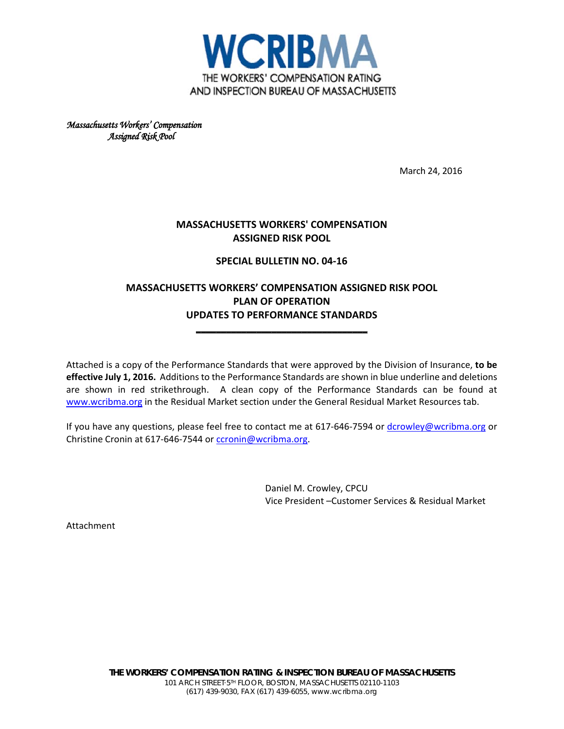

*Massachusetts Workers' Compensation Assigned Risk Pool* 

March 24, 2016

# **MASSACHUSETTS WORKERS' COMPENSATION ASSIGNED RISK POOL**

## **SPECIAL BULLETIN NO. 04-16**

# **MASSACHUSETTS WORKERS' COMPENSATION ASSIGNED RISK POOL PLAN OF OPERATION UPDATES TO PERFORMANCE STANDARDS**

**\_\_\_\_\_\_\_\_\_\_\_\_\_\_\_\_\_\_\_\_\_\_\_\_\_\_\_\_\_\_\_\_\_\_**

Attached is a copy of the Performance Standards that were approved by the Division of Insurance, **to be effective July 1, 2016.** Additions to the Performance Standards are shown in blue underline and deletions are shown in red strikethrough. A clean copy of the Performance Standards can be found at [www.wcribma.org](http://www.wcribma.org/) in the Residual Market section under the General Residual Market Resources tab.

If you have any questions, please feel free to contact me at  $617-646-7594$  or [dcrowley@wcribma.org](mailto:dcrowley@wcribma.org) or Christine Cronin at 617-646-7544 or [ccronin@wcribma.org.](mailto:ccronin@wcribma.org)

> Daniel M. Crowley, CPCU Vice President –Customer Services & Residual Market

Attachment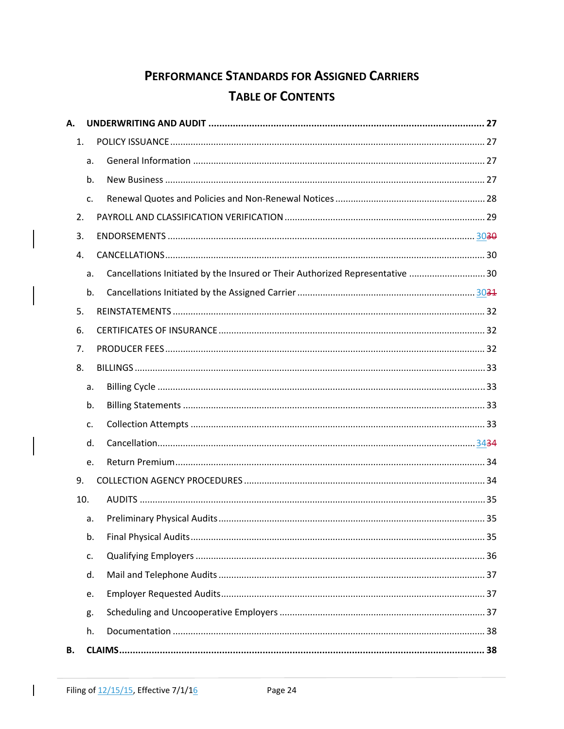# PERFORMANCE STANDARDS FOR ASSIGNED CARRIERS **TABLE OF CONTENTS**

| А.  |    |                                                                               |
|-----|----|-------------------------------------------------------------------------------|
| 1.  |    |                                                                               |
|     | a. |                                                                               |
|     | b. |                                                                               |
|     | C. |                                                                               |
| 2.  |    |                                                                               |
| 3.  |    |                                                                               |
| 4.  |    |                                                                               |
|     | a. | Cancellations Initiated by the Insured or Their Authorized Representative  30 |
|     | b. |                                                                               |
| 5.  |    |                                                                               |
| 6.  |    |                                                                               |
| 7.  |    |                                                                               |
| 8.  |    |                                                                               |
|     | a. |                                                                               |
|     | b. |                                                                               |
|     | C. |                                                                               |
|     | d. |                                                                               |
|     | e. |                                                                               |
| 9.  |    |                                                                               |
| 10. |    |                                                                               |
|     | a. |                                                                               |
|     | b. |                                                                               |
|     | c. |                                                                               |
|     | d. |                                                                               |
|     | e. |                                                                               |
|     | g. |                                                                               |
|     | h. |                                                                               |
| В.  |    |                                                                               |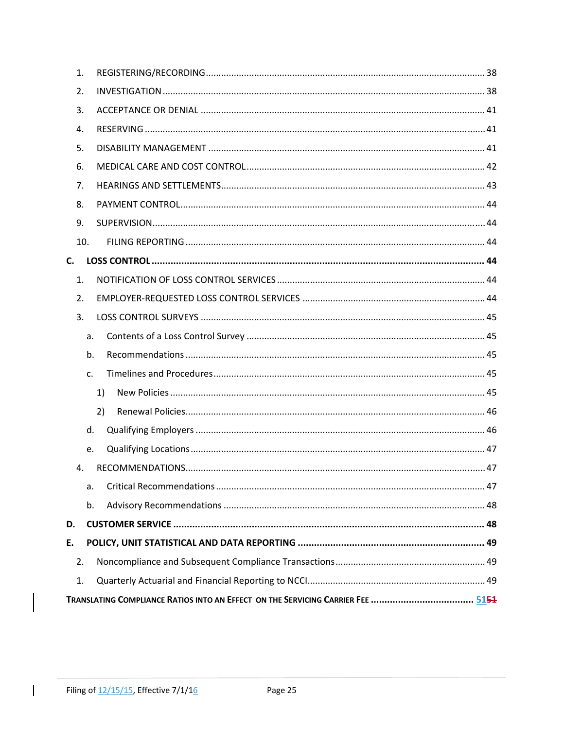| 1. |     |    |
|----|-----|----|
| 2. |     |    |
| 3. |     |    |
| 4. |     |    |
| 5. |     |    |
| 6. |     |    |
| 7. |     |    |
| 8. |     |    |
| 9. |     |    |
|    | 10. |    |
| C. |     |    |
| 1. |     |    |
| 2. |     |    |
| 3. |     |    |
|    | a.  |    |
|    | b.  |    |
|    | c.  |    |
|    |     | 1) |
|    |     | 2) |
|    | d.  |    |
|    | e.  |    |
| 4. |     |    |
|    | a.  |    |
|    | b.  |    |
| D. |     |    |
| Ε. |     |    |
| 2. |     |    |
| 1. |     |    |
|    |     |    |

 $\overline{\phantom{a}}$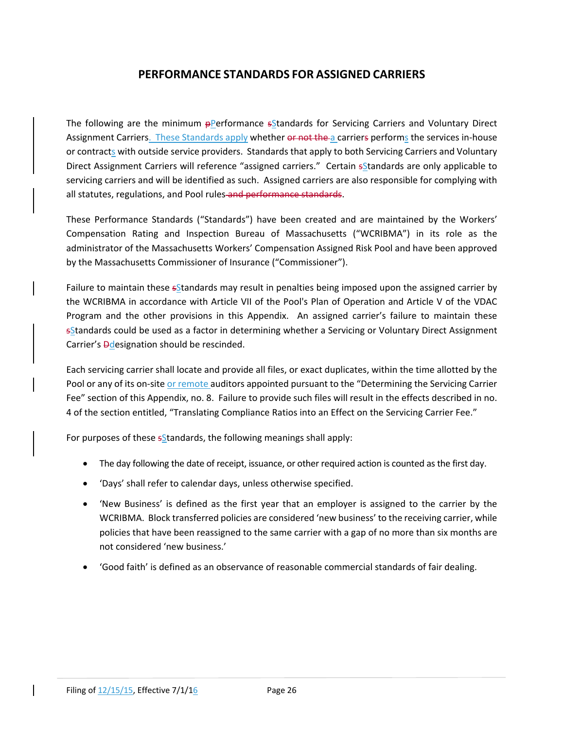# **PERFORMANCE STANDARDS FOR ASSIGNED CARRIERS**

The following are the minimum **pPerformance sStandards** for Servicing Carriers and Voluntary Direct Assignment Carriers. These Standards apply whether or not the a carriers performs the services in-house or contracts with outside service providers. Standards that apply to both Servicing Carriers and Voluntary Direct Assignment Carriers will reference "assigned carriers." Certain sStandards are only applicable to servicing carriers and will be identified as such. Assigned carriers are also responsible for complying with all statutes, regulations, and Pool rules and performance standards.

These Performance Standards ("Standards") have been created and are maintained by the Workers' Compensation Rating and Inspection Bureau of Massachusetts ("WCRIBMA") in its role as the administrator of the Massachusetts Workers' Compensation Assigned Risk Pool and have been approved by the Massachusetts Commissioner of Insurance ("Commissioner").

Failure to maintain these sStandards may result in penalties being imposed upon the assigned carrier by the WCRIBMA in accordance with Article VII of the Pool's Plan of Operation and Article V of the VDAC Program and the other provisions in this Appendix. An assigned carrier's failure to maintain these sStandards could be used as a factor in determining whether a Servicing or Voluntary Direct Assignment Carrier's **Ddesignation should be rescinded.** 

Each servicing carrier shall locate and provide all files, or exact duplicates, within the time allotted by the Pool or any of its on-site or remote auditors appointed pursuant to the "Determining the Servicing Carrier Fee" section of this Appendix, no. 8. Failure to provide such files will result in the effects described in no. 4 of the section entitled, "Translating Compliance Ratios into an Effect on the Servicing Carrier Fee."

For purposes of these  $s$ *S* tandards, the following meanings shall apply:

- The day following the date of receipt, issuance, or other required action is counted as the first day.
- 'Days' shall refer to calendar days, unless otherwise specified.
- 'New Business' is defined as the first year that an employer is assigned to the carrier by the WCRIBMA. Block transferred policies are considered 'new business' to the receiving carrier, while policies that have been reassigned to the same carrier with a gap of no more than six months are not considered 'new business.'
- 'Good faith' is defined as an observance of reasonable commercial standards of fair dealing.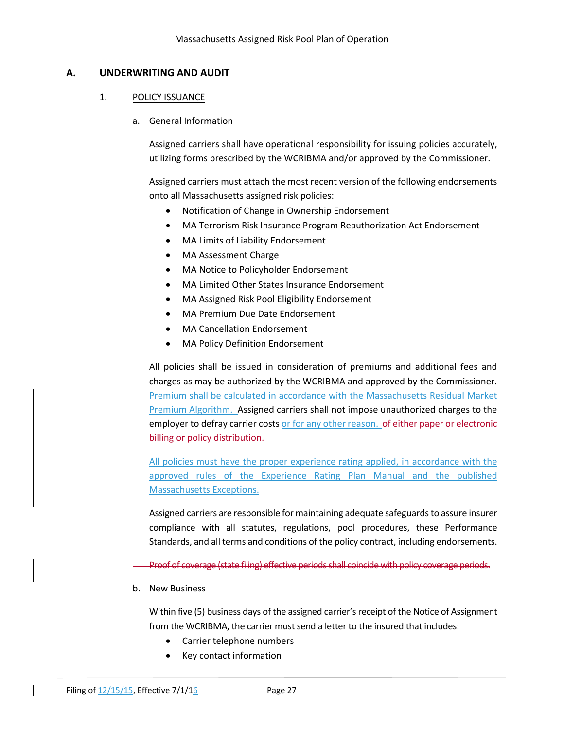## **A. UNDERWRITING AND AUDIT**

#### 1. POLICY ISSUANCE

a. General Information

Assigned carriers shall have operational responsibility for issuing policies accurately, utilizing forms prescribed by the WCRIBMA and/or approved by the Commissioner.

Assigned carriers must attach the most recent version of the following endorsements onto all Massachusetts assigned risk policies:

- Notification of Change in Ownership Endorsement
- MA Terrorism Risk Insurance Program Reauthorization Act Endorsement
- MA Limits of Liability Endorsement
- MA Assessment Charge
- MA Notice to Policyholder Endorsement
- MA Limited Other States Insurance Endorsement
- MA Assigned Risk Pool Eligibility Endorsement
- MA Premium Due Date Endorsement
- MA Cancellation Endorsement
- MA Policy Definition Endorsement

All policies shall be issued in consideration of premiums and additional fees and charges as may be authorized by the WCRIBMA and approved by the Commissioner. Premium shall be calculated in accordance with the Massachusetts Residual Market Premium Algorithm. Assigned carriers shall not impose unauthorized charges to the employer to defray carrier costs or for any other reason. of either paper or electronic billing or policy distribution.

All policies must have the proper experience rating applied, in accordance with the approved rules of the Experience Rating Plan Manual and the published Massachusetts Exceptions.

Assigned carriers are responsible for maintaining adequate safeguardsto assure insurer compliance with all statutes, regulations, pool procedures, these Performance Standards, and all terms and conditions of the policy contract, including endorsements.

Proof of coverage (state filing) effective periods shall coincide with policy coverage periods.

b. New Business

Within five (5) business days of the assigned carrier's receipt of the Notice of Assignment from the WCRIBMA, the carrier must send a letter to the insured that includes:

- Carrier telephone numbers
- Key contact information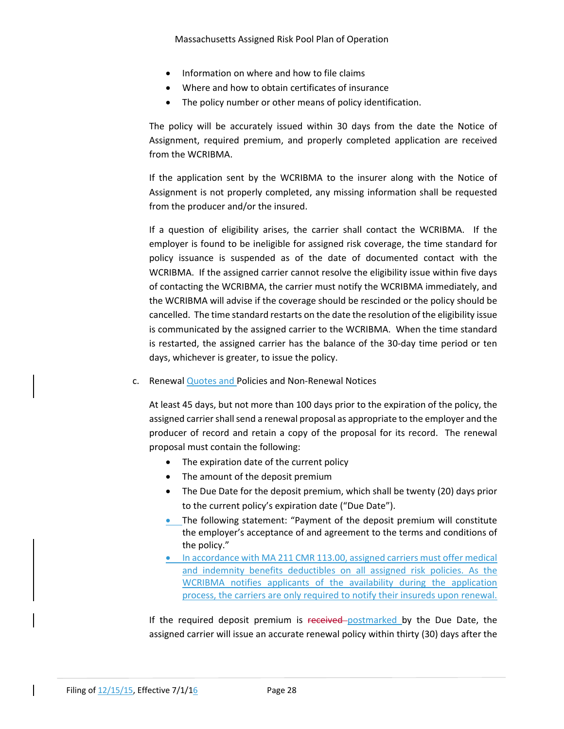- Information on where and how to file claims
- Where and how to obtain certificates of insurance
- The policy number or other means of policy identification.

The policy will be accurately issued within 30 days from the date the Notice of Assignment, required premium, and properly completed application are received from the WCRIBMA.

If the application sent by the WCRIBMA to the insurer along with the Notice of Assignment is not properly completed, any missing information shall be requested from the producer and/or the insured.

If a question of eligibility arises, the carrier shall contact the WCRIBMA. If the employer is found to be ineligible for assigned risk coverage, the time standard for policy issuance is suspended as of the date of documented contact with the WCRIBMA. If the assigned carrier cannot resolve the eligibility issue within five days of contacting the WCRIBMA, the carrier must notify the WCRIBMA immediately, and the WCRIBMA will advise if the coverage should be rescinded or the policy should be cancelled. The time standard restarts on the date the resolution of the eligibility issue is communicated by the assigned carrier to the WCRIBMA. When the time standard is restarted, the assigned carrier has the balance of the 30‐day time period or ten days, whichever is greater, to issue the policy.

c. Renewal Quotes and Policies and Non‐Renewal Notices

At least 45 days, but not more than 100 days prior to the expiration of the policy, the assigned carrier shall send a renewal proposal as appropriate to the employer and the producer of record and retain a copy of the proposal for its record. The renewal proposal must contain the following:

- The expiration date of the current policy
- The amount of the deposit premium
- The Due Date for the deposit premium, which shall be twenty (20) days prior to the current policy's expiration date ("Due Date").
- The following statement: "Payment of the deposit premium will constitute the employer's acceptance of and agreement to the terms and conditions of the policy."
- In accordance with MA 211 CMR 113.00, assigned carriers must offer medical and indemnity benefits deductibles on all assigned risk policies. As the WCRIBMA notifies applicants of the availability during the application process, the carriers are only required to notify their insureds upon renewal.

If the required deposit premium is received postmarked by the Due Date, the assigned carrier will issue an accurate renewal policy within thirty (30) days after the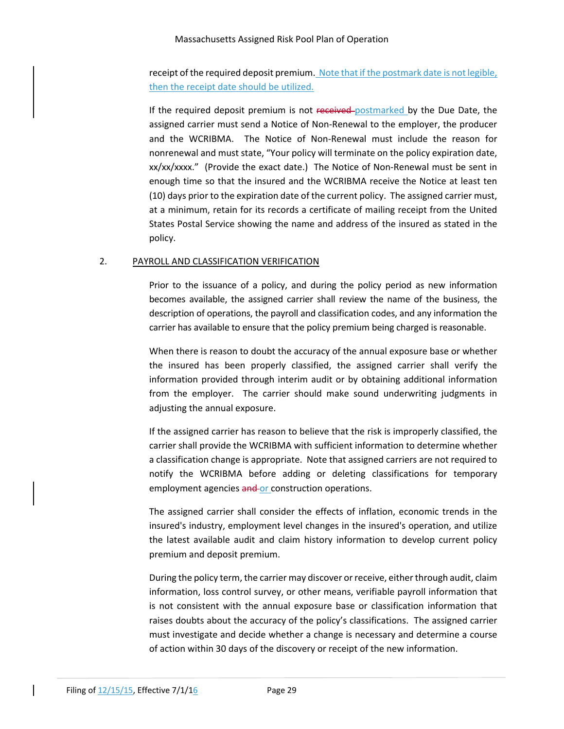#### Massachusetts Assigned Risk Pool Plan of Operation

receipt of the required deposit premium. Note that if the postmark date is not legible, then the receipt date should be utilized.

If the required deposit premium is not received postmarked by the Due Date, the assigned carrier must send a Notice of Non‐Renewal to the employer, the producer and the WCRIBMA. The Notice of Non-Renewal must include the reason for nonrenewal and must state, "Your policy will terminate on the policy expiration date, xx/xx/xxxx." (Provide the exact date.) The Notice of Non‐Renewal must be sent in enough time so that the insured and the WCRIBMA receive the Notice at least ten (10) days prior to the expiration date of the current policy. The assigned carrier must, at a minimum, retain for its records a certificate of mailing receipt from the United States Postal Service showing the name and address of the insured as stated in the policy.

## 2. PAYROLL AND CLASSIFICATION VERIFICATION

Prior to the issuance of a policy, and during the policy period as new information becomes available, the assigned carrier shall review the name of the business, the description of operations, the payroll and classification codes, and any information the carrier has available to ensure that the policy premium being charged is reasonable.

When there is reason to doubt the accuracy of the annual exposure base or whether the insured has been properly classified, the assigned carrier shall verify the information provided through interim audit or by obtaining additional information from the employer. The carrier should make sound underwriting judgments in adjusting the annual exposure.

If the assigned carrier has reason to believe that the risk is improperly classified, the carrier shall provide the WCRIBMA with sufficient information to determine whether a classification change is appropriate. Note that assigned carriers are not required to notify the WCRIBMA before adding or deleting classifications for temporary employment agencies and or construction operations.

The assigned carrier shall consider the effects of inflation, economic trends in the insured's industry, employment level changes in the insured's operation, and utilize the latest available audit and claim history information to develop current policy premium and deposit premium.

During the policy term, the carrier may discover or receive, either through audit, claim information, loss control survey, or other means, verifiable payroll information that is not consistent with the annual exposure base or classification information that raises doubts about the accuracy of the policy's classifications. The assigned carrier must investigate and decide whether a change is necessary and determine a course of action within 30 days of the discovery or receipt of the new information.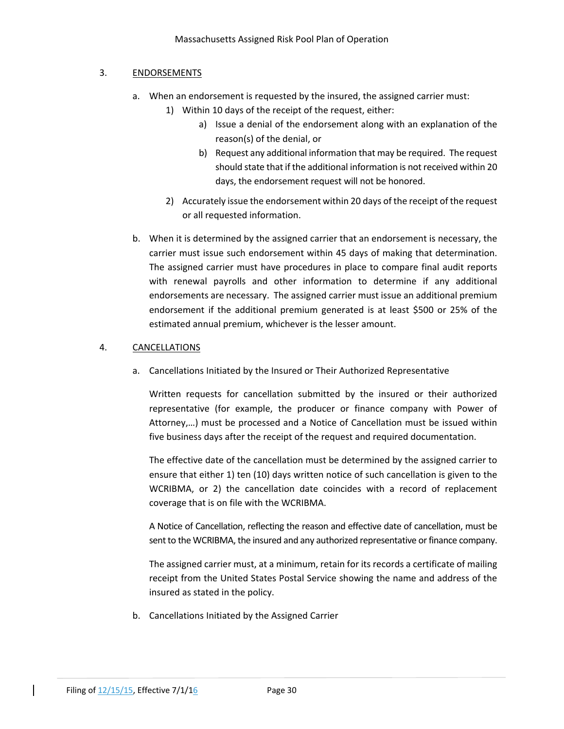#### 3. ENDORSEMENTS

- a. When an endorsement is requested by the insured, the assigned carrier must:
	- 1) Within 10 days of the receipt of the request, either:
		- a) Issue a denial of the endorsement along with an explanation of the reason(s) of the denial, or
		- b) Request any additional information that may be required. The request should state that if the additional information is not received within 20 days, the endorsement request will not be honored.
	- 2) Accurately issue the endorsement within 20 days of the receipt of the request or all requested information.
- b. When it is determined by the assigned carrier that an endorsement is necessary, the carrier must issue such endorsement within 45 days of making that determination. The assigned carrier must have procedures in place to compare final audit reports with renewal payrolls and other information to determine if any additional endorsements are necessary. The assigned carrier must issue an additional premium endorsement if the additional premium generated is at least \$500 or 25% of the estimated annual premium, whichever is the lesser amount.

## 4. CANCELLATIONS

a. Cancellations Initiated by the Insured or Their Authorized Representative

Written requests for cancellation submitted by the insured or their authorized representative (for example, the producer or finance company with Power of Attorney,…) must be processed and a Notice of Cancellation must be issued within five business days after the receipt of the request and required documentation.

The effective date of the cancellation must be determined by the assigned carrier to ensure that either 1) ten (10) days written notice of such cancellation is given to the WCRIBMA, or 2) the cancellation date coincides with a record of replacement coverage that is on file with the WCRIBMA.

A Notice of Cancellation, reflecting the reason and effective date of cancellation, must be sent to the WCRIBMA, the insured and any authorized representative or finance company.

The assigned carrier must, at a minimum, retain for its records a certificate of mailing receipt from the United States Postal Service showing the name and address of the insured as stated in the policy.

b. Cancellations Initiated by the Assigned Carrier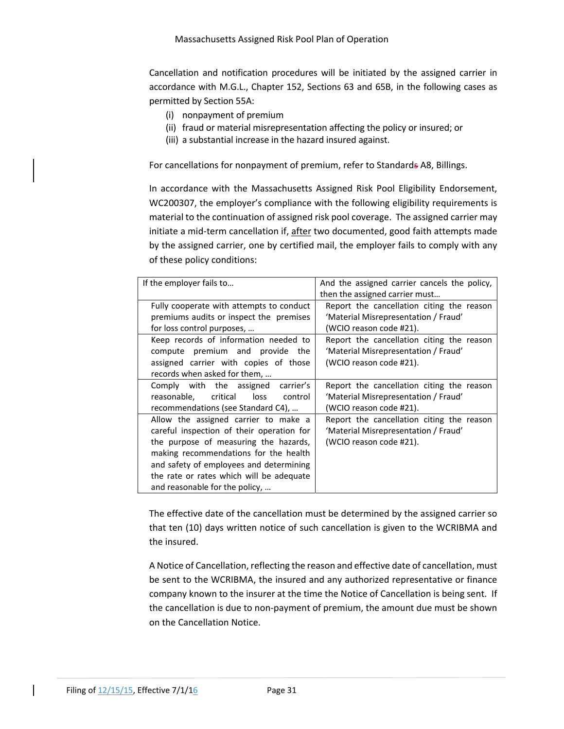Cancellation and notification procedures will be initiated by the assigned carrier in accordance with M.G.L., Chapter 152, Sections 63 and 65B, in the following cases as permitted by Section 55A:

- (i) nonpayment of premium
- (ii) fraud or material misrepresentation affecting the policy or insured; or
- (iii) a substantial increase in the hazard insured against.

For cancellations for nonpayment of premium, refer to Standards A8, Billings.

In accordance with the Massachusetts Assigned Risk Pool Eligibility Endorsement, WC200307, the employer's compliance with the following eligibility requirements is material to the continuation of assigned risk pool coverage. The assigned carrier may initiate a mid-term cancellation if, after two documented, good faith attempts made by the assigned carrier, one by certified mail, the employer fails to comply with any of these policy conditions:

| If the employer fails to                  | And the assigned carrier cancels the policy, |  |  |  |
|-------------------------------------------|----------------------------------------------|--|--|--|
|                                           | then the assigned carrier must               |  |  |  |
| Fully cooperate with attempts to conduct  | Report the cancellation citing the reason    |  |  |  |
| premiums audits or inspect the premises   | 'Material Misrepresentation / Fraud'         |  |  |  |
| for loss control purposes,                | (WCIO reason code #21).                      |  |  |  |
| Keep records of information needed to     | Report the cancellation citing the reason    |  |  |  |
| compute premium and provide the           | 'Material Misrepresentation / Fraud'         |  |  |  |
| assigned carrier with copies of those     | (WCIO reason code #21).                      |  |  |  |
| records when asked for them,              |                                              |  |  |  |
| Comply with the assigned carrier's        | Report the cancellation citing the reason    |  |  |  |
| reasonable, critical<br>loss<br>control   | 'Material Misrepresentation / Fraud'         |  |  |  |
| recommendations (see Standard C4),        | (WCIO reason code #21).                      |  |  |  |
| Allow the assigned carrier to make a      | Report the cancellation citing the reason    |  |  |  |
| careful inspection of their operation for | 'Material Misrepresentation / Fraud'         |  |  |  |
| the purpose of measuring the hazards,     | (WCIO reason code #21).                      |  |  |  |
| making recommendations for the health     |                                              |  |  |  |
| and safety of employees and determining   |                                              |  |  |  |
| the rate or rates which will be adequate  |                                              |  |  |  |
| and reasonable for the policy,            |                                              |  |  |  |

The effective date of the cancellation must be determined by the assigned carrier so that ten (10) days written notice of such cancellation is given to the WCRIBMA and the insured.

A Notice of Cancellation, reflecting the reason and effective date of cancellation, must be sent to the WCRIBMA, the insured and any authorized representative or finance company known to the insurer at the time the Notice of Cancellation is being sent. If the cancellation is due to non‐payment of premium, the amount due must be shown on the Cancellation Notice.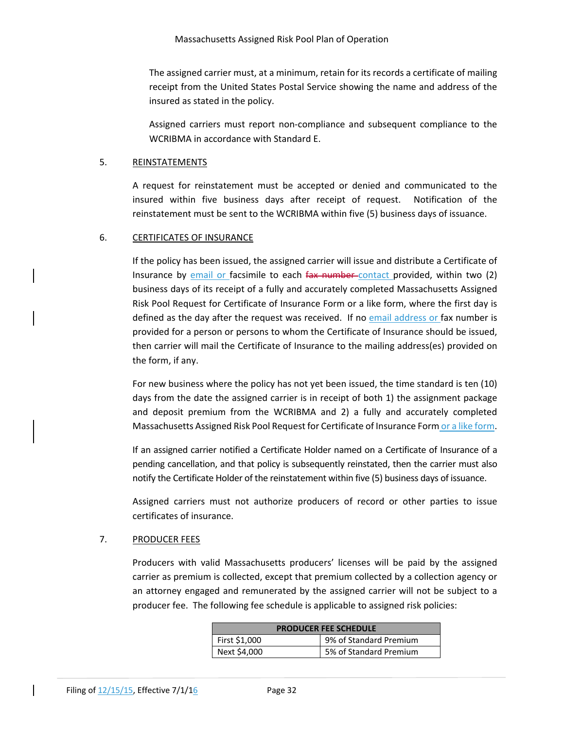The assigned carrier must, at a minimum, retain for its records a certificate of mailing receipt from the United States Postal Service showing the name and address of the insured as stated in the policy.

Assigned carriers must report non‐compliance and subsequent compliance to the WCRIBMA in accordance with Standard E.

## 5. REINSTATEMENTS

A request for reinstatement must be accepted or denied and communicated to the insured within five business days after receipt of request. Notification of the reinstatement must be sent to the WCRIBMA within five (5) business days of issuance.

## 6. CERTIFICATES OF INSURANCE

If the policy has been issued, the assigned carrier will issue and distribute a Certificate of Insurance by email or facsimile to each fax number contact provided, within two (2) business days of its receipt of a fully and accurately completed Massachusetts Assigned Risk Pool Request for Certificate of Insurance Form or a like form, where the first day is defined as the day after the request was received. If no email address or fax number is provided for a person or persons to whom the Certificate of Insurance should be issued, then carrier will mail the Certificate of Insurance to the mailing address(es) provided on the form, if any.

For new business where the policy has not yet been issued, the time standard is ten (10) days from the date the assigned carrier is in receipt of both 1) the assignment package and deposit premium from the WCRIBMA and 2) a fully and accurately completed Massachusetts Assigned Risk Pool Request for Certificate of Insurance Form or a like form.

If an assigned carrier notified a Certificate Holder named on a Certificate of Insurance of a pending cancellation, and that policy is subsequently reinstated, then the carrier must also notify the Certificate Holder of the reinstatement within five (5) business days of issuance.

Assigned carriers must not authorize producers of record or other parties to issue certificates of insurance.

## 7. PRODUCER FEES

Producers with valid Massachusetts producers' licenses will be paid by the assigned carrier as premium is collected, except that premium collected by a collection agency or an attorney engaged and remunerated by the assigned carrier will not be subject to a producer fee. The following fee schedule is applicable to assigned risk policies:

| <b>PRODUCER FEE SCHEDULE</b> |                        |  |  |  |  |
|------------------------------|------------------------|--|--|--|--|
| First \$1,000                | 9% of Standard Premium |  |  |  |  |
| Next \$4,000                 | 5% of Standard Premium |  |  |  |  |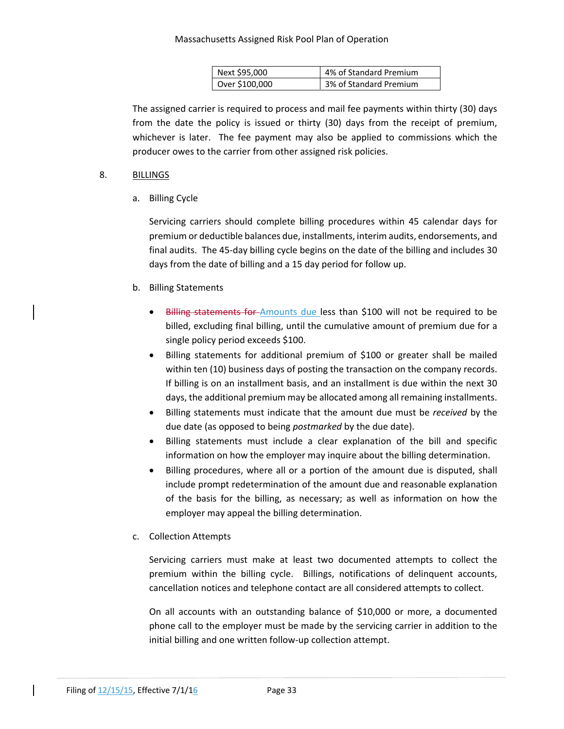#### Massachusetts Assigned Risk Pool Plan of Operation

| Next \$95,000  | 4% of Standard Premium |
|----------------|------------------------|
| Over \$100,000 | 3% of Standard Premium |

The assigned carrier is required to process and mail fee payments within thirty (30) days from the date the policy is issued or thirty (30) days from the receipt of premium, whichever is later. The fee payment may also be applied to commissions which the producer owes to the carrier from other assigned risk policies.

## 8. BILLINGS

a. Billing Cycle

Servicing carriers should complete billing procedures within 45 calendar days for premium or deductible balances due, installments, interim audits, endorsements, and final audits. The 45‐day billing cycle begins on the date of the billing and includes 30 days from the date of billing and a 15 day period for follow up.

## b. Billing Statements

- Billing statements for Amounts due less than \$100 will not be required to be billed, excluding final billing, until the cumulative amount of premium due for a single policy period exceeds \$100.
- Billing statements for additional premium of \$100 or greater shall be mailed within ten (10) business days of posting the transaction on the company records. If billing is on an installment basis, and an installment is due within the next 30 days, the additional premium may be allocated among all remaining installments.
- Billing statements must indicate that the amount due must be *received* by the due date (as opposed to being *postmarked* by the due date).
- Billing statements must include a clear explanation of the bill and specific information on how the employer may inquire about the billing determination.
- Billing procedures, where all or a portion of the amount due is disputed, shall include prompt redetermination of the amount due and reasonable explanation of the basis for the billing, as necessary; as well as information on how the employer may appeal the billing determination.

## c. Collection Attempts

Servicing carriers must make at least two documented attempts to collect the premium within the billing cycle. Billings, notifications of delinquent accounts, cancellation notices and telephone contact are all considered attempts to collect.

On all accounts with an outstanding balance of \$10,000 or more, a documented phone call to the employer must be made by the servicing carrier in addition to the initial billing and one written follow‐up collection attempt.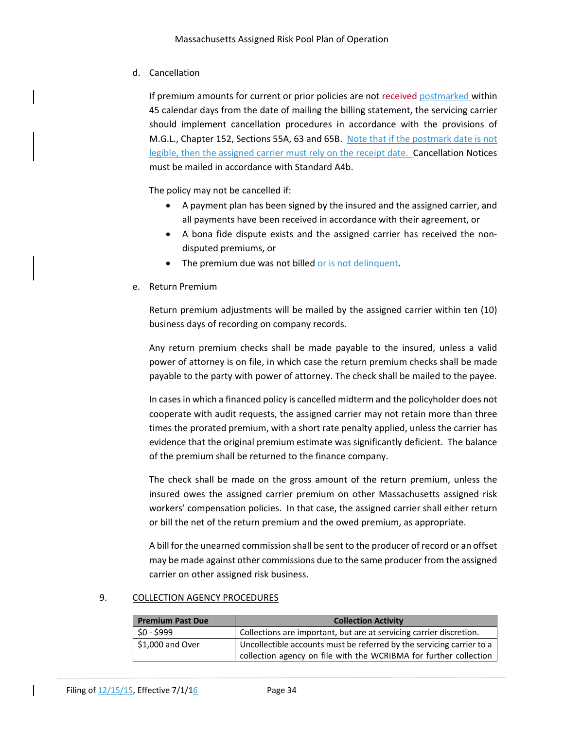## d. Cancellation

If premium amounts for current or prior policies are not received postmarked within 45 calendar days from the date of mailing the billing statement, the servicing carrier should implement cancellation procedures in accordance with the provisions of M.G.L., Chapter 152, Sections 55A, 63 and 65B. Note that if the postmark date is not legible, then the assigned carrier must rely on the receipt date. Cancellation Notices must be mailed in accordance with Standard A4b.

The policy may not be cancelled if:

- A payment plan has been signed by the insured and the assigned carrier, and all payments have been received in accordance with their agreement, or
- A bona fide dispute exists and the assigned carrier has received the non‐ disputed premiums, or
- The premium due was not billed or is not delinquent.
- e. Return Premium

Return premium adjustments will be mailed by the assigned carrier within ten (10) business days of recording on company records.

Any return premium checks shall be made payable to the insured, unless a valid power of attorney is on file, in which case the return premium checks shall be made payable to the party with power of attorney. The check shall be mailed to the payee.

In casesin which a financed policy is cancelled midterm and the policyholder does not cooperate with audit requests, the assigned carrier may not retain more than three times the prorated premium, with a short rate penalty applied, unless the carrier has evidence that the original premium estimate was significantly deficient. The balance of the premium shall be returned to the finance company.

The check shall be made on the gross amount of the return premium, unless the insured owes the assigned carrier premium on other Massachusetts assigned risk workers' compensation policies. In that case, the assigned carrier shall either return or bill the net of the return premium and the owed premium, as appropriate.

A bill for the unearned commission shall be sent to the producer of record or an offset may be made against other commissions due to the same producer from the assigned carrier on other assigned risk business.

## 9. COLLECTION AGENCY PROCEDURES

| <b>Premium Past Due</b> | <b>Collection Activity</b>                                                                                                                 |
|-------------------------|--------------------------------------------------------------------------------------------------------------------------------------------|
| \$0 - \$999             | Collections are important, but are at servicing carrier discretion.                                                                        |
| $$1,000$ and Over       | Uncollectible accounts must be referred by the servicing carrier to a<br>collection agency on file with the WCRIBMA for further collection |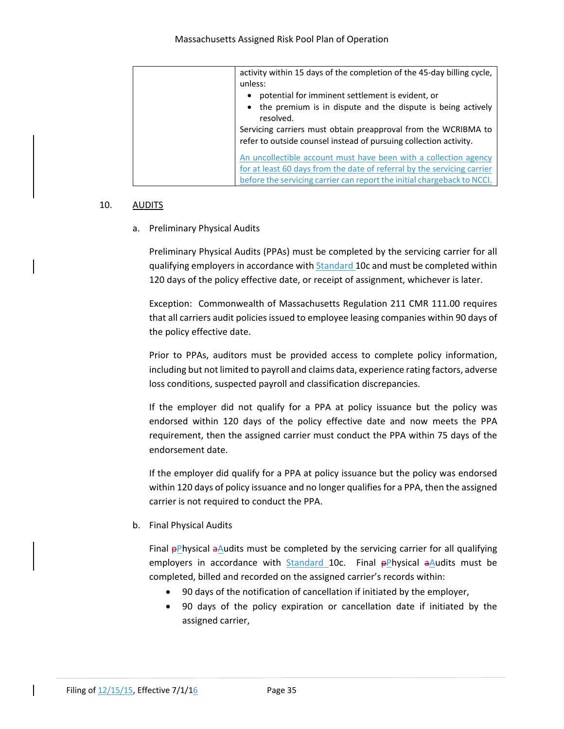| activity within 15 days of the completion of the 45-day billing cycle,<br>unless:                                                                                                                                |
|------------------------------------------------------------------------------------------------------------------------------------------------------------------------------------------------------------------|
| potential for imminent settlement is evident, or<br>٠<br>the premium is in dispute and the dispute is being actively<br>resolved.<br>Servicing carriers must obtain preapproval from the WCRIBMA to              |
| refer to outside counsel instead of pursuing collection activity.<br>An uncollectible account must have been with a collection agency<br>for at least 60 days from the date of referral by the servicing carrier |
| before the servicing carrier can report the initial chargeback to NCCI.                                                                                                                                          |

#### 10. AUDITS

## a. Preliminary Physical Audits

Preliminary Physical Audits (PPAs) must be completed by the servicing carrier for all qualifying employers in accordance with Standard 10c and must be completed within 120 days of the policy effective date, or receipt of assignment, whichever is later.

Exception: Commonwealth of Massachusetts Regulation 211 CMR 111.00 requires that all carriers audit policies issued to employee leasing companies within 90 days of the policy effective date.

Prior to PPAs, auditors must be provided access to complete policy information, including but not limited to payroll and claims data, experience rating factors, adverse loss conditions, suspected payroll and classification discrepancies.

If the employer did not qualify for a PPA at policy issuance but the policy was endorsed within 120 days of the policy effective date and now meets the PPA requirement, then the assigned carrier must conduct the PPA within 75 days of the endorsement date.

If the employer did qualify for a PPA at policy issuance but the policy was endorsed within 120 days of policy issuance and no longer qualifies for a PPA, then the assigned carrier is not required to conduct the PPA.

b. Final Physical Audits

Final  $\frac{p}{p}$  Physical a Audits must be completed by the servicing carrier for all qualifying employers in accordance with Standard 10c. Final  $\theta$ Physical  $\theta$ Audits must be completed, billed and recorded on the assigned carrier's records within:

- 90 days of the notification of cancellation if initiated by the employer,
- 90 days of the policy expiration or cancellation date if initiated by the assigned carrier,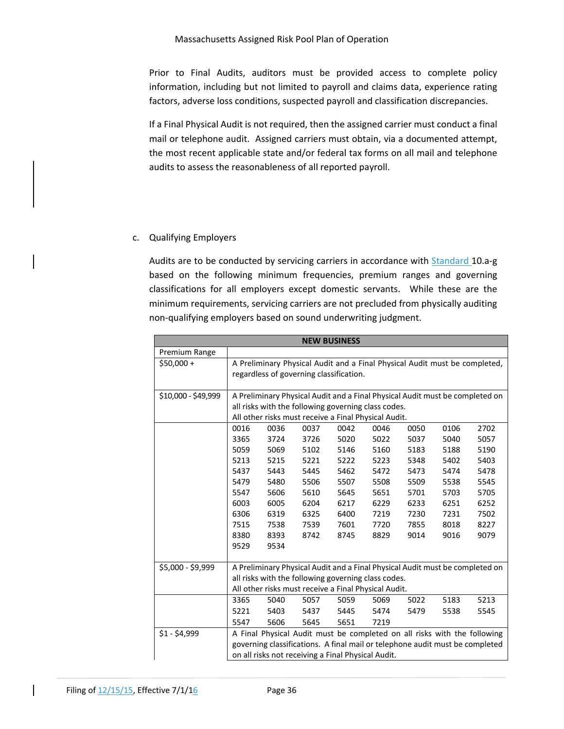Prior to Final Audits, auditors must be provided access to complete policy information, including but not limited to payroll and claims data, experience rating factors, adverse loss conditions, suspected payroll and classification discrepancies.

If a Final Physical Audit is not required, then the assigned carrier must conduct a final mail or telephone audit. Assigned carriers must obtain, via a documented attempt, the most recent applicable state and/or federal tax forms on all mail and telephone audits to assess the reasonableness of all reported payroll.

## c. Qualifying Employers

Audits are to be conducted by servicing carriers in accordance with Standard 10.a‐g based on the following minimum frequencies, premium ranges and governing classifications for all employers except domestic servants. While these are the minimum requirements, servicing carriers are not precluded from physically auditing non‐qualifying employers based on sound underwriting judgment.

|                     | <b>NEW BUSINESS</b>                                                          |                                                                              |      |      |                                                                              |      |      |      |
|---------------------|------------------------------------------------------------------------------|------------------------------------------------------------------------------|------|------|------------------------------------------------------------------------------|------|------|------|
| Premium Range       |                                                                              |                                                                              |      |      |                                                                              |      |      |      |
| $$50,000 +$         |                                                                              | A Preliminary Physical Audit and a Final Physical Audit must be completed,   |      |      |                                                                              |      |      |      |
|                     |                                                                              | regardless of governing classification.                                      |      |      |                                                                              |      |      |      |
|                     |                                                                              |                                                                              |      |      |                                                                              |      |      |      |
| \$10,000 - \$49,999 |                                                                              |                                                                              |      |      | A Preliminary Physical Audit and a Final Physical Audit must be completed on |      |      |      |
|                     |                                                                              |                                                                              |      |      | all risks with the following governing class codes.                          |      |      |      |
|                     |                                                                              |                                                                              |      |      | All other risks must receive a Final Physical Audit.                         |      |      |      |
|                     | 0016                                                                         | 0036                                                                         | 0037 | 0042 | 0046                                                                         | 0050 | 0106 | 2702 |
|                     | 3365                                                                         | 3724                                                                         | 3726 | 5020 | 5022                                                                         | 5037 | 5040 | 5057 |
|                     | 5059                                                                         | 5069                                                                         | 5102 | 5146 | 5160                                                                         | 5183 | 5188 | 5190 |
|                     | 5213                                                                         | 5215                                                                         | 5221 | 5222 | 5223                                                                         | 5348 | 5402 | 5403 |
|                     | 5437                                                                         | 5443                                                                         | 5445 | 5462 | 5472                                                                         | 5473 | 5474 | 5478 |
|                     | 5479                                                                         | 5480                                                                         | 5506 | 5507 | 5508                                                                         | 5509 | 5538 | 5545 |
|                     | 5547                                                                         | 5606                                                                         | 5610 | 5645 | 5651                                                                         | 5701 | 5703 | 5705 |
|                     | 6003                                                                         | 6005                                                                         | 6204 | 6217 | 6229                                                                         | 6233 | 6251 | 6252 |
|                     | 6306                                                                         | 6319                                                                         | 6325 | 6400 | 7219                                                                         | 7230 | 7231 | 7502 |
|                     | 7515                                                                         | 7538                                                                         | 7539 | 7601 | 7720                                                                         | 7855 | 8018 | 8227 |
|                     | 8380                                                                         | 8393                                                                         | 8742 | 8745 | 8829                                                                         | 9014 | 9016 | 9079 |
|                     | 9529                                                                         | 9534                                                                         |      |      |                                                                              |      |      |      |
|                     |                                                                              |                                                                              |      |      |                                                                              |      |      |      |
| \$5,000 - \$9,999   | A Preliminary Physical Audit and a Final Physical Audit must be completed on |                                                                              |      |      |                                                                              |      |      |      |
|                     | all risks with the following governing class codes.                          |                                                                              |      |      |                                                                              |      |      |      |
|                     |                                                                              |                                                                              |      |      | All other risks must receive a Final Physical Audit.                         |      |      |      |
|                     | 3365                                                                         | 5040                                                                         | 5057 | 5059 | 5069                                                                         | 5022 | 5183 | 5213 |
|                     | 5221                                                                         | 5403                                                                         | 5437 | 5445 | 5474                                                                         | 5479 | 5538 | 5545 |
|                     | 5547                                                                         | 5606                                                                         | 5645 | 5651 | 7219                                                                         |      |      |      |
| $$1 - $4,999$       |                                                                              |                                                                              |      |      | A Final Physical Audit must be completed on all risks with the following     |      |      |      |
|                     |                                                                              | governing classifications. A final mail or telephone audit must be completed |      |      |                                                                              |      |      |      |
|                     |                                                                              | on all risks not receiving a Final Physical Audit.                           |      |      |                                                                              |      |      |      |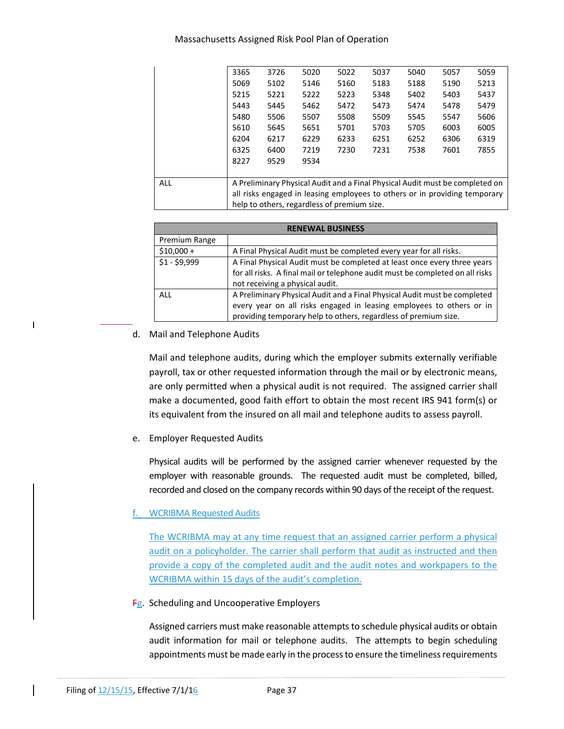#### Massachusetts Assigned Risk Pool Plan of Operation

|            | 3365                                                                         | 3726 | 5020                                        | 5022 | 5037 | 5040 | 5057 | 5059 |
|------------|------------------------------------------------------------------------------|------|---------------------------------------------|------|------|------|------|------|
|            | 5069                                                                         | 5102 | 5146                                        | 5160 | 5183 | 5188 | 5190 | 5213 |
|            | 5215                                                                         | 5221 | 5222                                        | 5223 | 5348 | 5402 | 5403 | 5437 |
|            | 5443                                                                         | 5445 | 5462                                        | 5472 | 5473 | 5474 | 5478 | 5479 |
|            | 5480                                                                         | 5506 | 5507                                        | 5508 | 5509 | 5545 | 5547 | 5606 |
|            | 5610                                                                         | 5645 | 5651                                        | 5701 | 5703 | 5705 | 6003 | 6005 |
|            | 6204                                                                         | 6217 | 6229                                        | 6233 | 6251 | 6252 | 6306 | 6319 |
|            | 6325                                                                         | 6400 | 7219                                        | 7230 | 7231 | 7538 | 7601 | 7855 |
|            | 8227                                                                         | 9529 | 9534                                        |      |      |      |      |      |
|            |                                                                              |      |                                             |      |      |      |      |      |
| <b>ALL</b> | A Preliminary Physical Audit and a Final Physical Audit must be completed on |      |                                             |      |      |      |      |      |
|            | all risks engaged in leasing employees to others or in providing temporary   |      |                                             |      |      |      |      |      |
|            |                                                                              |      | help to others, regardless of premium size. |      |      |      |      |      |

| <b>RENEWAL BUSINESS</b>                                                                   |                                                                               |  |  |  |  |  |
|-------------------------------------------------------------------------------------------|-------------------------------------------------------------------------------|--|--|--|--|--|
| Premium Range                                                                             |                                                                               |  |  |  |  |  |
| $$10,000+$                                                                                | A Final Physical Audit must be completed every year for all risks.            |  |  |  |  |  |
| $$1 - $9,999$<br>A Final Physical Audit must be completed at least once every three years |                                                                               |  |  |  |  |  |
|                                                                                           | for all risks. A final mail or telephone audit must be completed on all risks |  |  |  |  |  |
|                                                                                           | not receiving a physical audit.                                               |  |  |  |  |  |
| ALL                                                                                       | A Preliminary Physical Audit and a Final Physical Audit must be completed     |  |  |  |  |  |
| every year on all risks engaged in leasing employees to others or in                      |                                                                               |  |  |  |  |  |
| providing temporary help to others, regardless of premium size.                           |                                                                               |  |  |  |  |  |

## d. Mail and Telephone Audits

 $\overline{\phantom{a}}$ 

Mail and telephone audits, during which the employer submits externally verifiable payroll, tax or other requested information through the mail or by electronic means, are only permitted when a physical audit is not required. The assigned carrier shall make a documented, good faith effort to obtain the most recent IRS 941 form(s) or its equivalent from the insured on all mail and telephone audits to assess payroll.

## e. Employer Requested Audits

Physical audits will be performed by the assigned carrier whenever requested by the employer with reasonable grounds. The requested audit must be completed, billed, recorded and closed on the company records within 90 days of the receipt of the request.

## f. WCRIBMA Requested Audits

The WCRIBMA may at any time request that an assigned carrier perform a physical audit on a policyholder. The carrier shall perform that audit as instructed and then provide a copy of the completed audit and the audit notes and workpapers to the WCRIBMA within 15 days of the audit's completion.

## **Fg.** Scheduling and Uncooperative Employers

Assigned carriers must make reasonable attempts to schedule physical audits or obtain audit information for mail or telephone audits. The attempts to begin scheduling appointments must be made early in the process to ensure the timeliness requirements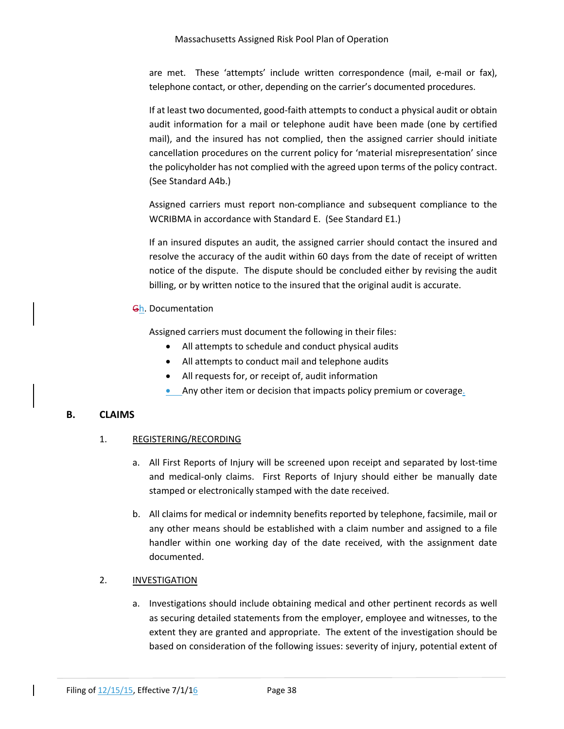are met. These 'attempts' include written correspondence (mail, e-mail or fax), telephone contact, or other, depending on the carrier's documented procedures.

If at least two documented, good‐faith attempts to conduct a physical audit or obtain audit information for a mail or telephone audit have been made (one by certified mail), and the insured has not complied, then the assigned carrier should initiate cancellation procedures on the current policy for 'material misrepresentation' since the policyholder has not complied with the agreed upon terms of the policy contract. (See Standard A4b.)

Assigned carriers must report non‐compliance and subsequent compliance to the WCRIBMA in accordance with Standard E. (See Standard E1.)

If an insured disputes an audit, the assigned carrier should contact the insured and resolve the accuracy of the audit within 60 days from the date of receipt of written notice of the dispute. The dispute should be concluded either by revising the audit billing, or by written notice to the insured that the original audit is accurate.

## Gh. Documentation

Assigned carriers must document the following in their files:

- All attempts to schedule and conduct physical audits
- All attempts to conduct mail and telephone audits
- All requests for, or receipt of, audit information
- Any other item or decision that impacts policy premium or coverage.

## **B. CLAIMS**

## 1. REGISTERING/RECORDING

- a. All First Reports of Injury will be screened upon receipt and separated by lost‐time and medical-only claims. First Reports of Injury should either be manually date stamped or electronically stamped with the date received.
- b. All claims for medical or indemnity benefits reported by telephone, facsimile, mail or any other means should be established with a claim number and assigned to a file handler within one working day of the date received, with the assignment date documented.

## 2. INVESTIGATION

a. Investigations should include obtaining medical and other pertinent records as well as securing detailed statements from the employer, employee and witnesses, to the extent they are granted and appropriate. The extent of the investigation should be based on consideration of the following issues: severity of injury, potential extent of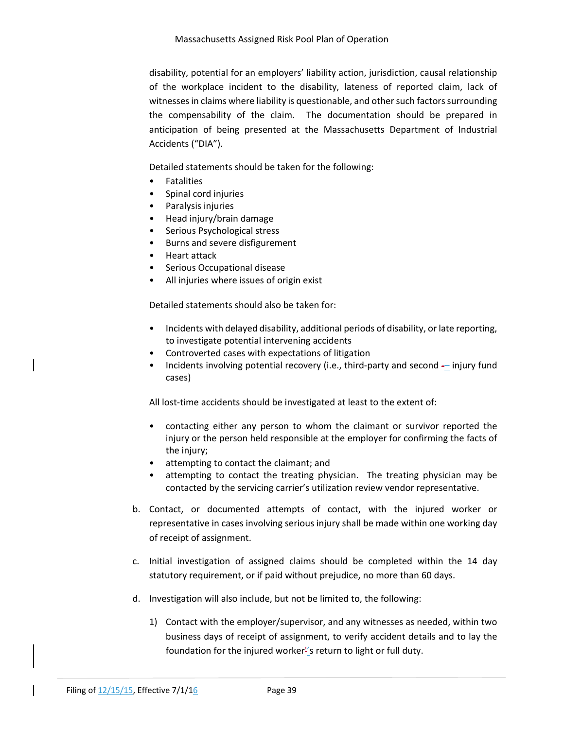disability, potential for an employers' liability action, jurisdiction, causal relationship of the workplace incident to the disability, lateness of reported claim, lack of witnesses in claims where liability is questionable, and other such factors surrounding the compensability of the claim. The documentation should be prepared in anticipation of being presented at the Massachusetts Department of Industrial Accidents ("DIA").

Detailed statements should be taken for the following:

- Fatalities
- Spinal cord injuries
- Paralysis injuries
- Head injury/brain damage
- Serious Psychological stress
- Burns and severe disfigurement
- Heart attack
- Serious Occupational disease
- All injuries where issues of origin exist

Detailed statements should also be taken for:

- Incidents with delayed disability, additional periods of disability, or late reporting, to investigate potential intervening accidents
- Controverted cases with expectations of litigation
- Incidents involving potential recovery (i.e., third‐party and second ‐– injury fund cases)

All lost-time accidents should be investigated at least to the extent of:

- contacting either any person to whom the claimant or survivor reported the injury or the person held responsible at the employer for confirming the facts of the injury;
- attempting to contact the claimant; and
- attempting to contact the treating physician. The treating physician may be contacted by the servicing carrier's utilization review vendor representative.
- b. Contact, or documented attempts of contact, with the injured worker or representative in cases involving serious injury shall be made within one working day of receipt of assignment.
- c. Initial investigation of assigned claims should be completed within the 14 day statutory requirement, or if paid without prejudice, no more than 60 days.
- d. Investigation will also include, but not be limited to, the following:
	- 1) Contact with the employer/supervisor, and any witnesses as needed, within two business days of receipt of assignment, to verify accident details and to lay the foundation for the injured worker<sup>1</sup>'s return to light or full duty.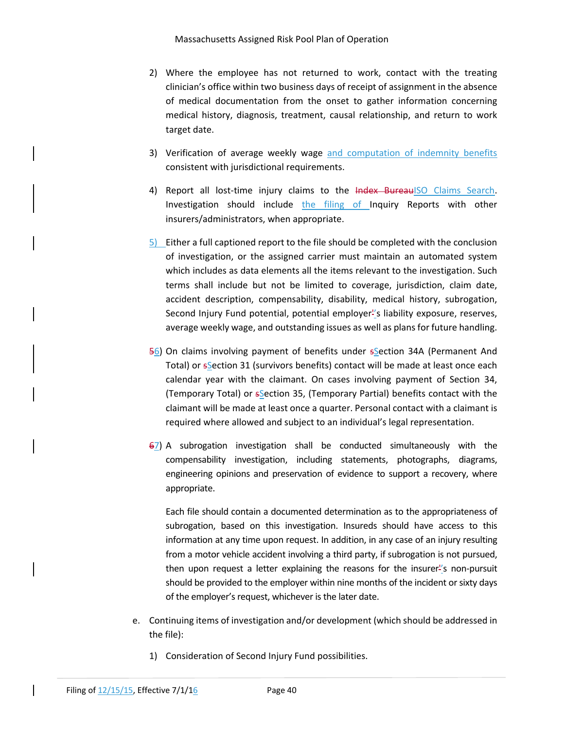- 2) Where the employee has not returned to work, contact with the treating clinician's office within two business days of receipt of assignment in the absence of medical documentation from the onset to gather information concerning medical history, diagnosis, treatment, causal relationship, and return to work target date.
- 3) Verification of average weekly wage and computation of indemnity benefits consistent with jurisdictional requirements.
- 4) Report all lost-time injury claims to the Index BureauISO Claims Search. Investigation should include the filing of Inquiry Reports with other insurers/administrators, when appropriate.
- 5) Either a full captioned report to the file should be completed with the conclusion of investigation, or the assigned carrier must maintain an automated system which includes as data elements all the items relevant to the investigation. Such terms shall include but not be limited to coverage, jurisdiction, claim date, accident description, compensability, disability, medical history, subrogation, Second Injury Fund potential, potential employer<sup>1</sup>'s liability exposure, reserves, average weekly wage, and outstanding issues as well as plans for future handling.
- 56) On claims involving payment of benefits under sSection 34A (Permanent And Total) or sSection 31 (survivors benefits) contact will be made at least once each calendar year with the claimant. On cases involving payment of Section 34, (Temporary Total) or  $s$ <sup>S</sup>ection 35, (Temporary Partial) benefits contact with the claimant will be made at least once a quarter. Personal contact with a claimant is required where allowed and subject to an individual's legal representation.
- 67) A subrogation investigation shall be conducted simultaneously with the compensability investigation, including statements, photographs, diagrams, engineering opinions and preservation of evidence to support a recovery, where appropriate.

Each file should contain a documented determination as to the appropriateness of subrogation, based on this investigation. Insureds should have access to this information at any time upon request. In addition, in any case of an injury resulting from a motor vehicle accident involving a third party, if subrogation is not pursued, then upon request a letter explaining the reasons for the insurer''s non‐pursuit should be provided to the employer within nine months of the incident or sixty days of the employer's request, whichever is the later date.

- e. Continuing items of investigation and/or development (which should be addressed in the file):
	- 1) Consideration of Second Injury Fund possibilities.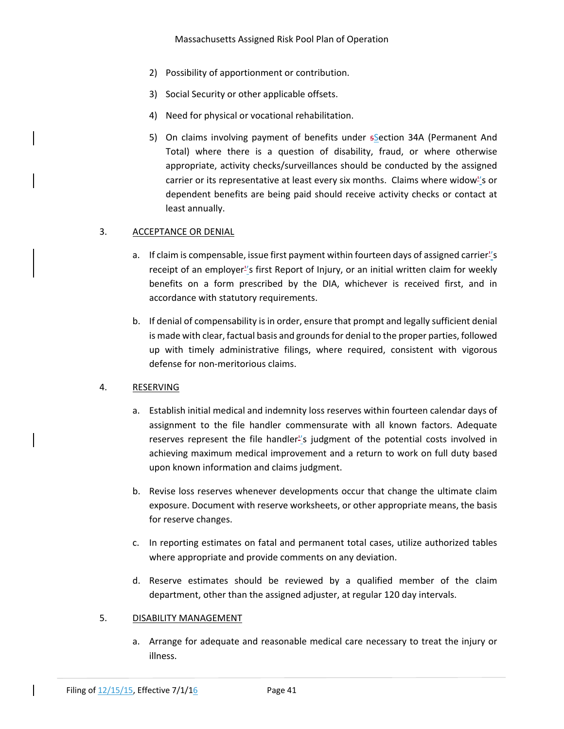- 2) Possibility of apportionment or contribution.
- 3) Social Security or other applicable offsets.
- 4) Need for physical or vocational rehabilitation.
- 5) On claims involving payment of benefits under sSection 34A (Permanent And Total) where there is a question of disability, fraud, or where otherwise appropriate, activity checks/surveillances should be conducted by the assigned carrier or its representative at least every six months. Claims where widow''s or dependent benefits are being paid should receive activity checks or contact at least annually.

## 3. ACCEPTANCE OR DENIAL

- a. If claim is compensable, issue first payment within fourteen days of assigned carrier''s receipt of an employer''s first Report of Injury, or an initial written claim for weekly benefits on a form prescribed by the DIA, whichever is received first, and in accordance with statutory requirements.
- b. If denial of compensability is in order, ensure that prompt and legally sufficient denial is made with clear, factual basis and grounds for denial to the proper parties, followed up with timely administrative filings, where required, consistent with vigorous defense for non‐meritorious claims.

## 4. RESERVING

- a. Establish initial medical and indemnity loss reserves within fourteen calendar days of assignment to the file handler commensurate with all known factors. Adequate reserves represent the file handler''s judgment of the potential costs involved in achieving maximum medical improvement and a return to work on full duty based upon known information and claims judgment.
- b. Revise loss reserves whenever developments occur that change the ultimate claim exposure. Document with reserve worksheets, or other appropriate means, the basis for reserve changes.
- c. In reporting estimates on fatal and permanent total cases, utilize authorized tables where appropriate and provide comments on any deviation.
- d. Reserve estimates should be reviewed by a qualified member of the claim department, other than the assigned adjuster, at regular 120 day intervals.

## 5. DISABILITY MANAGEMENT

a. Arrange for adequate and reasonable medical care necessary to treat the injury or illness.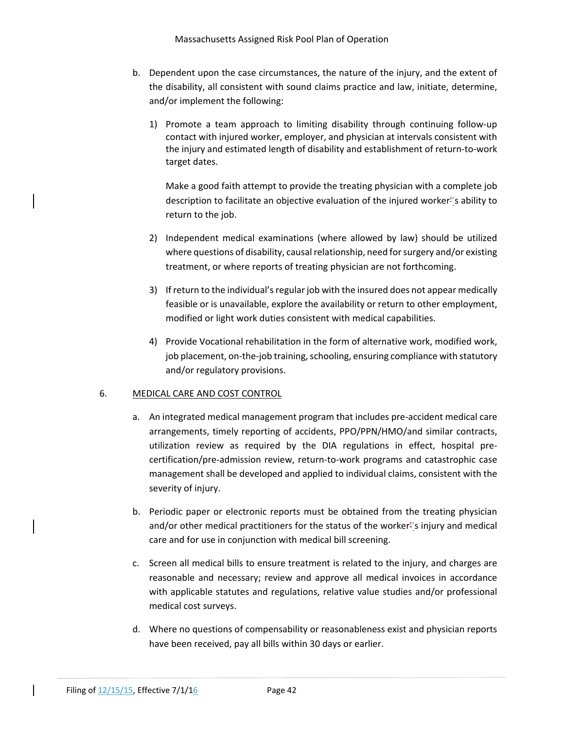- b. Dependent upon the case circumstances, the nature of the injury, and the extent of the disability, all consistent with sound claims practice and law, initiate, determine, and/or implement the following:
	- 1) Promote a team approach to limiting disability through continuing follow‐up contact with injured worker, employer, and physician at intervals consistent with the injury and estimated length of disability and establishment of return‐to‐work target dates.

Make a good faith attempt to provide the treating physician with a complete job description to facilitate an objective evaluation of the injured worker''s ability to return to the job.

- 2) Independent medical examinations (where allowed by law) should be utilized where questions of disability, causal relationship, need for surgery and/or existing treatment, or where reports of treating physician are not forthcoming.
- 3) If return to the individual'sregularjob with the insured does not appear medically feasible or is unavailable, explore the availability or return to other employment, modified or light work duties consistent with medical capabilities.
- 4) Provide Vocational rehabilitation in the form of alternative work, modified work, job placement, on-the-job training, schooling, ensuring compliance with statutory and/or regulatory provisions.

## 6. MEDICAL CARE AND COST CONTROL

- a. An integrated medical management program that includes pre‐accident medical care arrangements, timely reporting of accidents, PPO/PPN/HMO/and similar contracts, utilization review as required by the DIA regulations in effect, hospital pre‐ certification/pre‐admission review, return‐to‐work programs and catastrophic case management shall be developed and applied to individual claims, consistent with the severity of injury.
- b. Periodic paper or electronic reports must be obtained from the treating physician and/or other medical practitioners for the status of the worker''s injury and medical care and for use in conjunction with medical bill screening.
- c. Screen all medical bills to ensure treatment is related to the injury, and charges are reasonable and necessary; review and approve all medical invoices in accordance with applicable statutes and regulations, relative value studies and/or professional medical cost surveys.
- d. Where no questions of compensability or reasonableness exist and physician reports have been received, pay all bills within 30 days or earlier.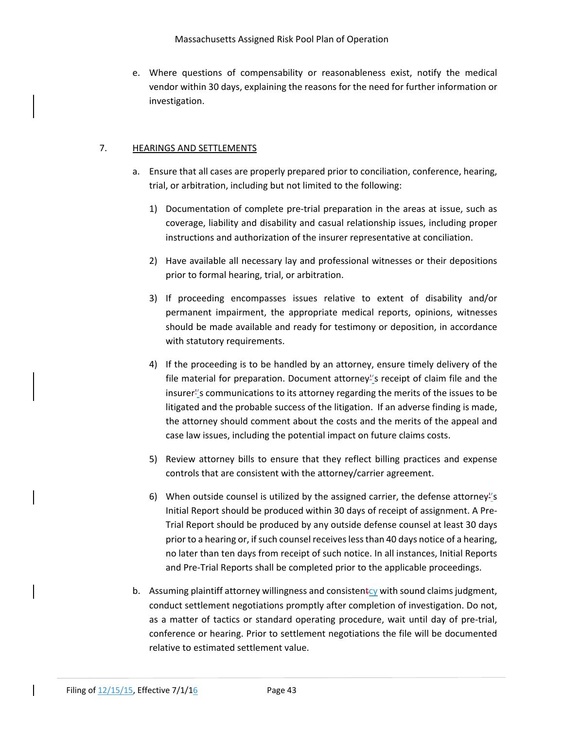Massachusetts Assigned Risk Pool Plan of Operation

e. Where questions of compensability or reasonableness exist, notify the medical vendor within 30 days, explaining the reasons for the need for further information or investigation.

## 7. HEARINGS AND SETTLEMENTS

- a. Ensure that all cases are properly prepared prior to conciliation, conference, hearing, trial, or arbitration, including but not limited to the following:
	- 1) Documentation of complete pre‐trial preparation in the areas at issue, such as coverage, liability and disability and casual relationship issues, including proper instructions and authorization of the insurer representative at conciliation.
	- 2) Have available all necessary lay and professional witnesses or their depositions prior to formal hearing, trial, or arbitration.
	- 3) If proceeding encompasses issues relative to extent of disability and/or permanent impairment, the appropriate medical reports, opinions, witnesses should be made available and ready for testimony or deposition, in accordance with statutory requirements.
	- 4) If the proceeding is to be handled by an attorney, ensure timely delivery of the file material for preparation. Document attorney<sup>1</sup>'s receipt of claim file and the insurer''s communications to its attorney regarding the merits of the issues to be litigated and the probable success of the litigation. If an adverse finding is made, the attorney should comment about the costs and the merits of the appeal and case law issues, including the potential impact on future claims costs.
	- 5) Review attorney bills to ensure that they reflect billing practices and expense controls that are consistent with the attorney/carrier agreement.
	- 6) When outside counsel is utilized by the assigned carrier, the defense attorney<sup>"</sup>s Initial Report should be produced within 30 days of receipt of assignment. A Pre‐ Trial Report should be produced by any outside defense counsel at least 30 days prior to a hearing or, if such counsel receives less than 40 days notice of a hearing, no later than ten days from receipt of such notice. In all instances, Initial Reports and Pre‐Trial Reports shall be completed prior to the applicable proceedings.
- b. Assuming plaintiff attorney willingness and consistentcy with sound claims judgment, conduct settlement negotiations promptly after completion of investigation. Do not, as a matter of tactics or standard operating procedure, wait until day of pre‐trial, conference or hearing. Prior to settlement negotiations the file will be documented relative to estimated settlement value.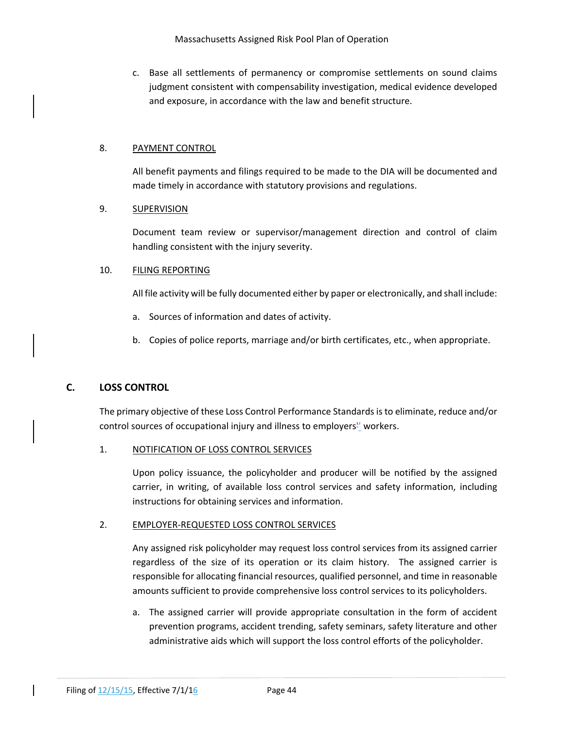c. Base all settlements of permanency or compromise settlements on sound claims judgment consistent with compensability investigation, medical evidence developed and exposure, in accordance with the law and benefit structure.

## 8. PAYMENT CONTROL

All benefit payments and filings required to be made to the DIA will be documented and made timely in accordance with statutory provisions and regulations.

## 9. SUPERVISION

Document team review or supervisor/management direction and control of claim handling consistent with the injury severity.

## 10. FILING REPORTING

All file activity will be fully documented either by paper or electronically, and shall include:

- a. Sources of information and dates of activity.
- b. Copies of police reports, marriage and/or birth certificates, etc., when appropriate.

## **C. LOSS CONTROL**

The primary objective of these Loss Control Performance Standardsisto eliminate, reduce and/or control sources of occupational injury and illness to employers'' workers.

## 1. NOTIFICATION OF LOSS CONTROL SERVICES

Upon policy issuance, the policyholder and producer will be notified by the assigned carrier, in writing, of available loss control services and safety information, including instructions for obtaining services and information.

## 2. EMPLOYER‐REQUESTED LOSS CONTROL SERVICES

Any assigned risk policyholder may request loss control services from its assigned carrier regardless of the size of its operation or its claim history. The assigned carrier is responsible for allocating financial resources, qualified personnel, and time in reasonable amounts sufficient to provide comprehensive loss control services to its policyholders.

a. The assigned carrier will provide appropriate consultation in the form of accident prevention programs, accident trending, safety seminars, safety literature and other administrative aids which will support the loss control efforts of the policyholder.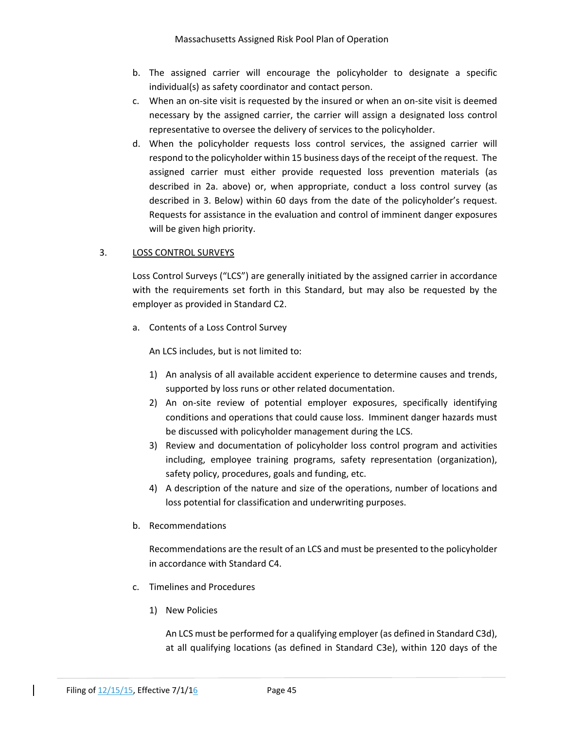- b. The assigned carrier will encourage the policyholder to designate a specific individual(s) as safety coordinator and contact person.
- c. When an on‐site visit is requested by the insured or when an on‐site visit is deemed necessary by the assigned carrier, the carrier will assign a designated loss control representative to oversee the delivery of services to the policyholder.
- d. When the policyholder requests loss control services, the assigned carrier will respond to the policyholder within 15 business days of the receipt of the request. The assigned carrier must either provide requested loss prevention materials (as described in 2a. above) or, when appropriate, conduct a loss control survey (as described in 3. Below) within 60 days from the date of the policyholder's request. Requests for assistance in the evaluation and control of imminent danger exposures will be given high priority.

## 3. LOSS CONTROL SURVEYS

Loss Control Surveys ("LCS") are generally initiated by the assigned carrier in accordance with the requirements set forth in this Standard, but may also be requested by the employer as provided in Standard C2.

a. Contents of a Loss Control Survey

An LCS includes, but is not limited to:

- 1) An analysis of all available accident experience to determine causes and trends, supported by loss runs or other related documentation.
- 2) An on-site review of potential employer exposures, specifically identifying conditions and operations that could cause loss. Imminent danger hazards must be discussed with policyholder management during the LCS.
- 3) Review and documentation of policyholder loss control program and activities including, employee training programs, safety representation (organization), safety policy, procedures, goals and funding, etc.
- 4) A description of the nature and size of the operations, number of locations and loss potential for classification and underwriting purposes.
- b. Recommendations

Recommendations are the result of an LCS and must be presented to the policyholder in accordance with Standard C4.

- c. Timelines and Procedures
	- 1) New Policies

An LCS must be performed for a qualifying employer (as defined in Standard C3d), at all qualifying locations (as defined in Standard C3e), within 120 days of the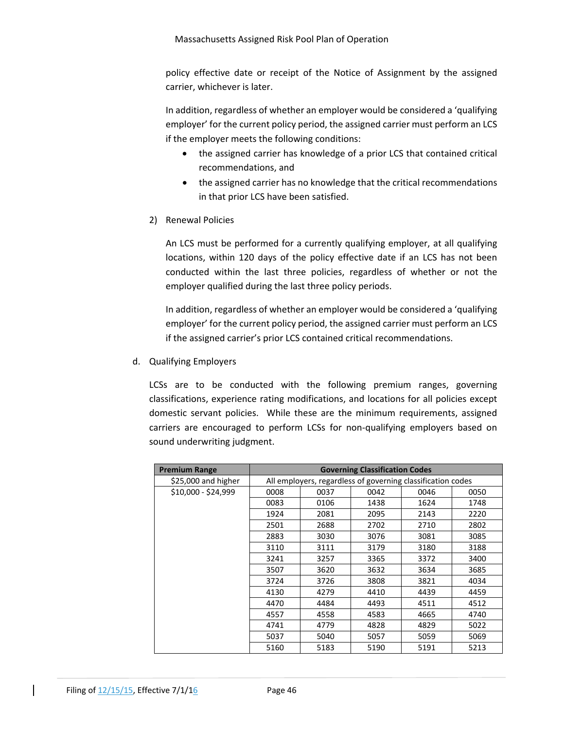policy effective date or receipt of the Notice of Assignment by the assigned carrier, whichever is later.

In addition, regardless of whether an employer would be considered a 'qualifying employer' for the current policy period, the assigned carrier must perform an LCS if the employer meets the following conditions:

- the assigned carrier has knowledge of a prior LCS that contained critical recommendations, and
- the assigned carrier has no knowledge that the critical recommendations in that prior LCS have been satisfied.
- 2) Renewal Policies

An LCS must be performed for a currently qualifying employer, at all qualifying locations, within 120 days of the policy effective date if an LCS has not been conducted within the last three policies, regardless of whether or not the employer qualified during the last three policy periods.

In addition, regardless of whether an employer would be considered a 'qualifying employer' for the current policy period, the assigned carrier must perform an LCS if the assigned carrier's prior LCS contained critical recommendations.

d. Qualifying Employers

LCSs are to be conducted with the following premium ranges, governing classifications, experience rating modifications, and locations for all policies except domestic servant policies. While these are the minimum requirements, assigned carriers are encouraged to perform LCSs for non-qualifying employers based on sound underwriting judgment.

| <b>Premium Range</b> | <b>Governing Classification Codes</b>                       |      |      |      |      |  |  |
|----------------------|-------------------------------------------------------------|------|------|------|------|--|--|
| \$25,000 and higher  | All employers, regardless of governing classification codes |      |      |      |      |  |  |
| \$10,000 - \$24,999  | 0008                                                        | 0037 | 0042 | 0046 | 0050 |  |  |
|                      | 0083                                                        | 0106 | 1438 | 1624 | 1748 |  |  |
|                      | 1924                                                        | 2081 | 2095 | 2143 | 2220 |  |  |
|                      | 2501                                                        | 2688 | 2702 | 2710 | 2802 |  |  |
|                      | 2883                                                        | 3030 | 3076 | 3081 | 3085 |  |  |
|                      | 3110                                                        | 3111 | 3179 | 3180 | 3188 |  |  |
|                      | 3241                                                        | 3257 | 3365 | 3372 | 3400 |  |  |
|                      | 3507                                                        | 3620 | 3632 | 3634 | 3685 |  |  |
|                      | 3724                                                        | 3726 | 3808 | 3821 | 4034 |  |  |
|                      | 4130                                                        | 4279 | 4410 | 4439 | 4459 |  |  |
|                      | 4470                                                        | 4484 | 4493 | 4511 | 4512 |  |  |
|                      | 4557                                                        | 4558 | 4583 | 4665 | 4740 |  |  |
|                      | 4741                                                        | 4779 | 4828 | 4829 | 5022 |  |  |
|                      | 5037                                                        | 5040 | 5057 | 5059 | 5069 |  |  |
|                      | 5160                                                        | 5183 | 5190 | 5191 | 5213 |  |  |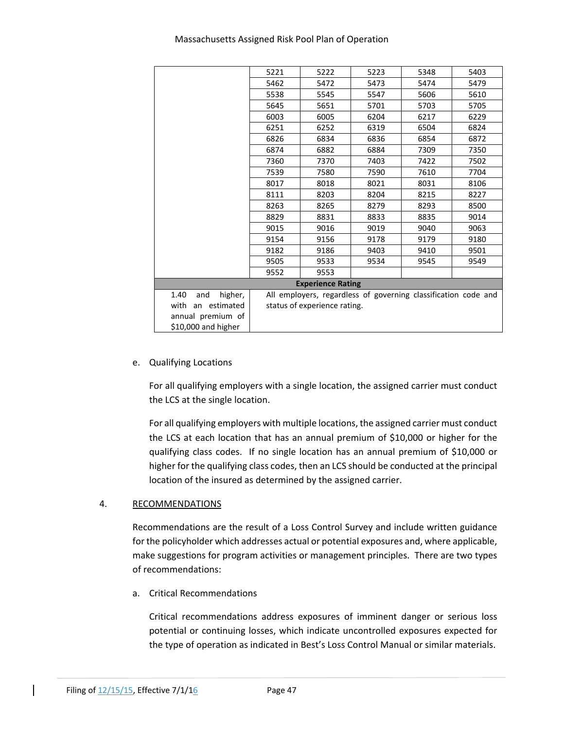|                        | 5221                                                           | 5222 | 5223 | 5348 | 5403 |  |
|------------------------|----------------------------------------------------------------|------|------|------|------|--|
|                        | 5462                                                           | 5472 | 5473 | 5474 | 5479 |  |
|                        | 5538                                                           | 5545 | 5547 | 5606 | 5610 |  |
|                        | 5645                                                           | 5651 | 5701 | 5703 | 5705 |  |
|                        | 6003                                                           | 6005 | 6204 | 6217 | 6229 |  |
|                        | 6251                                                           | 6252 | 6319 | 6504 | 6824 |  |
|                        | 6826                                                           | 6834 | 6836 | 6854 | 6872 |  |
|                        | 6874                                                           | 6882 | 6884 | 7309 | 7350 |  |
|                        | 7360                                                           | 7370 | 7403 | 7422 | 7502 |  |
|                        | 7539                                                           | 7580 | 7590 | 7610 | 7704 |  |
|                        | 8017                                                           | 8018 | 8021 | 8031 | 8106 |  |
|                        | 8111                                                           | 8203 | 8204 | 8215 | 8227 |  |
|                        | 8263                                                           | 8265 | 8279 | 8293 | 8500 |  |
|                        | 8829                                                           | 8831 | 8833 | 8835 | 9014 |  |
|                        | 9015                                                           | 9016 | 9019 | 9040 | 9063 |  |
|                        | 9154                                                           | 9156 | 9178 | 9179 | 9180 |  |
|                        | 9182                                                           | 9186 | 9403 | 9410 | 9501 |  |
|                        | 9505                                                           | 9533 | 9534 | 9545 | 9549 |  |
|                        | 9552                                                           | 9553 |      |      |      |  |
|                        | <b>Experience Rating</b>                                       |      |      |      |      |  |
| 1.40<br>and<br>higher, | All employers, regardless of governing classification code and |      |      |      |      |  |
| with<br>an estimated   | status of experience rating.                                   |      |      |      |      |  |
| annual premium of      |                                                                |      |      |      |      |  |
| \$10,000 and higher    |                                                                |      |      |      |      |  |

## e. Qualifying Locations

For all qualifying employers with a single location, the assigned carrier must conduct the LCS at the single location.

For all qualifying employers with multiple locations, the assigned carrier must conduct the LCS at each location that has an annual premium of \$10,000 or higher for the qualifying class codes. If no single location has an annual premium of \$10,000 or higher for the qualifying class codes, then an LCS should be conducted at the principal location of the insured as determined by the assigned carrier.

## 4. RECOMMENDATIONS

Recommendations are the result of a Loss Control Survey and include written guidance for the policyholder which addresses actual or potential exposures and, where applicable, make suggestions for program activities or management principles. There are two types of recommendations:

a. Critical Recommendations

Critical recommendations address exposures of imminent danger or serious loss potential or continuing losses, which indicate uncontrolled exposures expected for the type of operation as indicated in Best's Loss Control Manual or similar materials.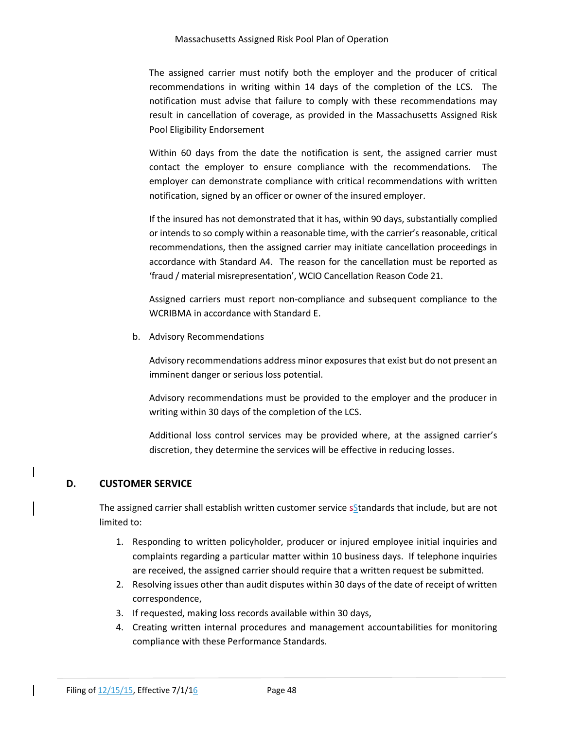The assigned carrier must notify both the employer and the producer of critical recommendations in writing within 14 days of the completion of the LCS. The notification must advise that failure to comply with these recommendations may result in cancellation of coverage, as provided in the Massachusetts Assigned Risk Pool Eligibility Endorsement

Within 60 days from the date the notification is sent, the assigned carrier must contact the employer to ensure compliance with the recommendations. The employer can demonstrate compliance with critical recommendations with written notification, signed by an officer or owner of the insured employer.

If the insured has not demonstrated that it has, within 90 days, substantially complied or intends to so comply within a reasonable time, with the carrier's reasonable, critical recommendations, then the assigned carrier may initiate cancellation proceedings in accordance with Standard A4. The reason for the cancellation must be reported as 'fraud / material misrepresentation', WCIO Cancellation Reason Code 21.

Assigned carriers must report non‐compliance and subsequent compliance to the WCRIBMA in accordance with Standard E.

b. Advisory Recommendations

Advisory recommendations address minor exposures that exist but do not present an imminent danger or serious loss potential.

Advisory recommendations must be provided to the employer and the producer in writing within 30 days of the completion of the LCS.

Additional loss control services may be provided where, at the assigned carrier's discretion, they determine the services will be effective in reducing losses.

# **D. CUSTOMER SERVICE**

The assigned carrier shall establish written customer service sStandards that include, but are not limited to:

- 1. Responding to written policyholder, producer or injured employee initial inquiries and complaints regarding a particular matter within 10 business days. If telephone inquiries are received, the assigned carrier should require that a written request be submitted.
- 2. Resolving issues other than audit disputes within 30 days of the date of receipt of written correspondence,
- 3. If requested, making loss records available within 30 days,
- 4. Creating written internal procedures and management accountabilities for monitoring compliance with these Performance Standards.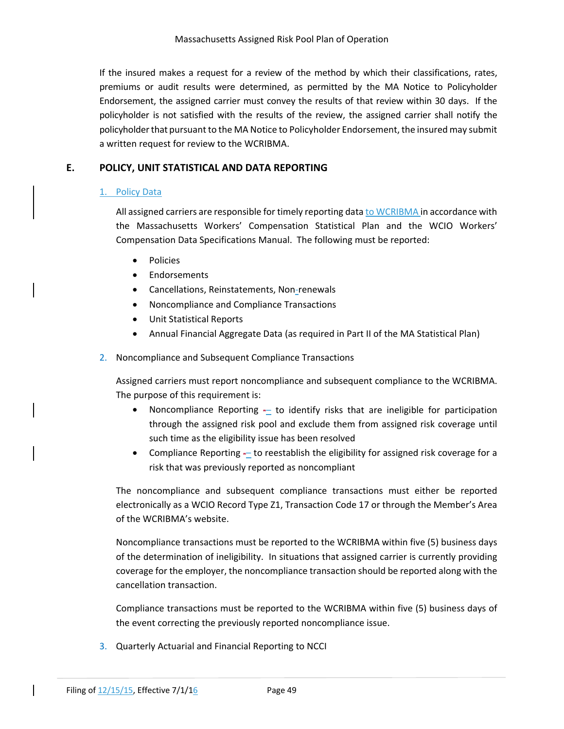If the insured makes a request for a review of the method by which their classifications, rates, premiums or audit results were determined, as permitted by the MA Notice to Policyholder Endorsement, the assigned carrier must convey the results of that review within 30 days. If the policyholder is not satisfied with the results of the review, the assigned carrier shall notify the policyholder that pursuant to the MA Notice to Policyholder Endorsement, the insured may submit a written request for review to the WCRIBMA.

## **E. POLICY, UNIT STATISTICAL AND DATA REPORTING**

## 1. Policy Data

All assigned carriers are responsible for timely reporting data to WCRIBMA in accordance with the Massachusetts Workers' Compensation Statistical Plan and the WCIO Workers' Compensation Data Specifications Manual. The following must be reported:

- Policies
- Endorsements
- Cancellations, Reinstatements, Non-renewals
- Noncompliance and Compliance Transactions
- Unit Statistical Reports
- Annual Financial Aggregate Data (as required in Part II of the MA Statistical Plan)
- 2. Noncompliance and Subsequent Compliance Transactions

Assigned carriers must report noncompliance and subsequent compliance to the WCRIBMA. The purpose of this requirement is:

- Noncompliance Reporting  $-$  to identify risks that are ineligible for participation through the assigned risk pool and exclude them from assigned risk coverage until such time as the eligibility issue has been resolved
- Compliance Reporting to reestablish the eligibility for assigned risk coverage for a risk that was previously reported as noncompliant

The noncompliance and subsequent compliance transactions must either be reported electronically as a WCIO Record Type Z1, Transaction Code 17 or through the Member's Area of the WCRIBMA's website.

Noncompliance transactions must be reported to the WCRIBMA within five (5) business days of the determination of ineligibility. In situations that assigned carrier is currently providing coverage for the employer, the noncompliance transaction should be reported along with the cancellation transaction.

Compliance transactions must be reported to the WCRIBMA within five (5) business days of the event correcting the previously reported noncompliance issue.

3. Quarterly Actuarial and Financial Reporting to NCCI